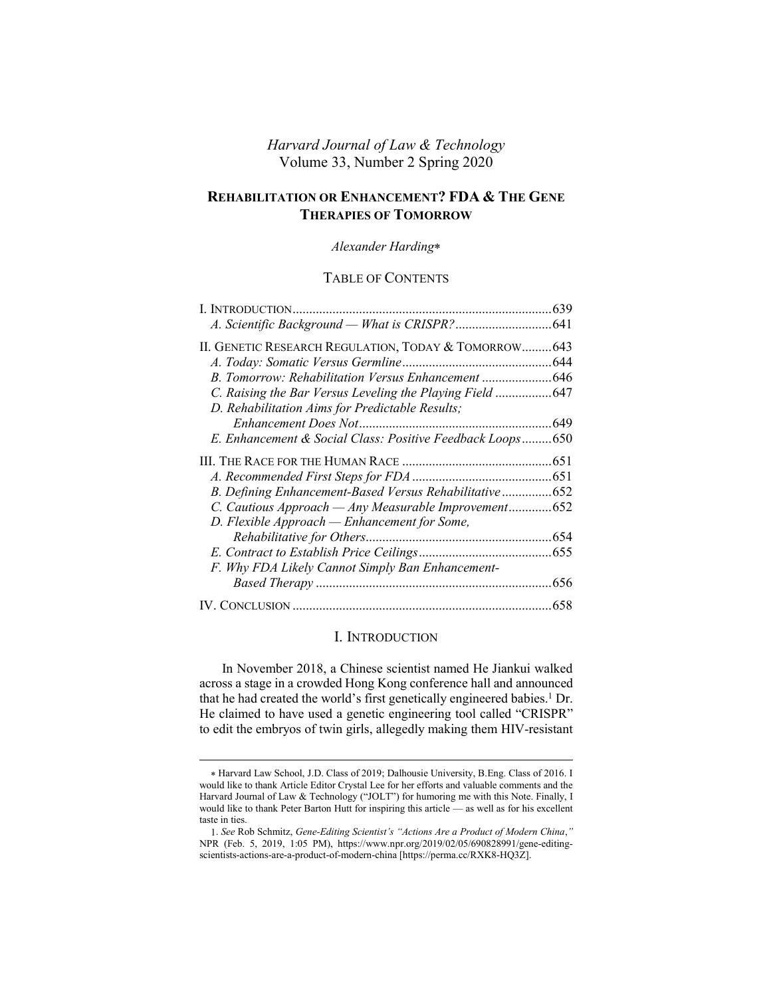# *Harvard Journal of Law & Technology* Volume 33, Number 2 Spring 2020

# **REHABILITATION OR ENHANCEMENT? FDA & THE GENE THERAPIES OF TOMORROW**

### *Alexander Harding*

## TABLE OF CONTENTS

| II. GENETIC RESEARCH REGULATION, TODAY & TOMORROW 643     |  |
|-----------------------------------------------------------|--|
|                                                           |  |
|                                                           |  |
| C. Raising the Bar Versus Leveling the Playing Field 647  |  |
| D. Rehabilitation Aims for Predictable Results;           |  |
|                                                           |  |
| E. Enhancement & Social Class: Positive Feedback Loops650 |  |
|                                                           |  |
|                                                           |  |
| B. Defining Enhancement-Based Versus Rehabilitative652    |  |
| C. Cautious Approach - Any Measurable Improvement652      |  |
| D. Flexible Approach — Enhancement for Some,              |  |
|                                                           |  |
|                                                           |  |
| F. Why FDA Likely Cannot Simply Ban Enhancement-          |  |
|                                                           |  |
|                                                           |  |

# <span id="page-0-1"></span><span id="page-0-0"></span>I. INTRODUCTION

In November 2018, a Chinese scientist named He Jiankui walked across a stage in a crowded Hong Kong conference hall and announced that he had created the world's first genetically engineered babies.<sup>1</sup> Dr. He claimed to have used a genetic engineering tool called "CRISPR" to edit the embryos of twin girls, allegedly making them HIV-resistant

Harvard Law School, J.D. Class of 2019; Dalhousie University, B.Eng. Class of 2016. I would like to thank Article Editor Crystal Lee for her efforts and valuable comments and the Harvard Journal of Law & Technology ("JOLT") for humoring me with this Note. Finally, I would like to thank Peter Barton Hutt for inspiring this article — as well as for his excellent taste in ties.

<sup>1.</sup> *See* Rob Schmitz, *Gene-Editing Scientist's "Actions Are a Product of Modern China*,*"* NPR (Feb. 5, 2019, 1:05 PM), https://www.npr.org/2019/02/05/690828991/gene-editingscientists-actions-are-a-product-of-modern-china [https://perma.cc/RXK8-HQ3Z].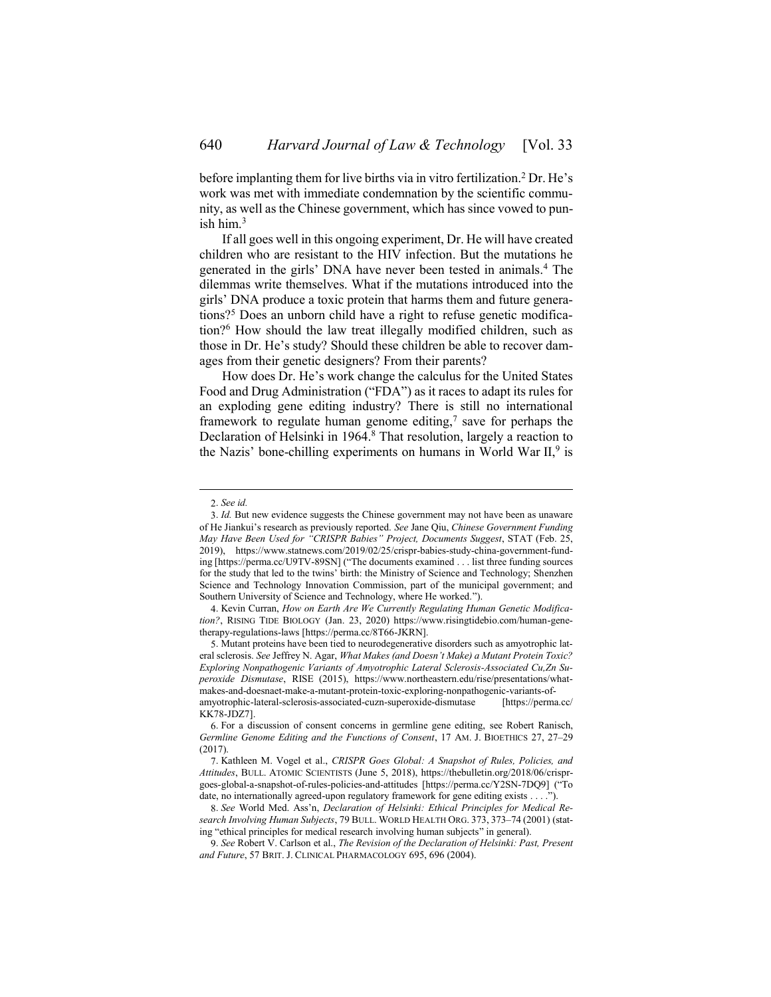before implanting them for live births via in vitro fertilization.<sup>2</sup> Dr. He's work was met with immediate condemnation by the scientific community, as well as the Chinese government, which has since vowed to punish him. $3$ 

<span id="page-1-2"></span><span id="page-1-1"></span>If all goes well in this ongoing experiment, Dr. He will have created children who are resistant to the HIV infection. But the mutations he generated in the girls' DNA have never been tested in animals.<sup>4</sup> The dilemmas write themselves. What if the mutations introduced into the girls' DNA produce a toxic protein that harms them and future generations?<sup>5</sup> Does an unborn child have a right to refuse genetic modification?<sup>6</sup> How should the law treat illegally modified children, such as those in Dr. He's study? Should these children be able to recover damages from their genetic designers? From their parents?

<span id="page-1-0"></span>How does Dr. He's work change the calculus for the United States Food and Drug Administration ("FDA") as it races to adapt its rules for an exploding gene editing industry? There is still no international framework to regulate human genome editing,<sup>7</sup> save for perhaps the Declaration of Helsinki in 1964.<sup>8</sup> That resolution, largely a reaction to the Nazis' bone-chilling experiments on humans in World War  $II$ , is

<sup>2.</sup> *See id.*

<sup>3.</sup> *Id.* But new evidence suggests the Chinese government may not have been as unaware of He Jiankui's research as previously reported. *See* Jane Qiu, *Chinese Government Funding May Have Been Used for "CRISPR Babies" Project, Documents Suggest*, STAT (Feb. 25, 2019), https://www.statnews.com/2019/02/25/crispr-babies-study-china-government-funding [https://perma.cc/U9TV-89SN] ("The documents examined . . . list three funding sources for the study that led to the twins' birth: the Ministry of Science and Technology; Shenzhen Science and Technology Innovation Commission, part of the municipal government; and Southern University of Science and Technology, where He worked.").

<sup>4.</sup> Kevin Curran, *How on Earth Are We Currently Regulating Human Genetic Modification?*, RISING TIDE BIOLOGY (Jan. 23, 2020) https://www.risingtidebio.com/human-genetherapy-regulations-laws [https://perma.cc/8T66-JKRN].

<sup>5.</sup> Mutant proteins have been tied to neurodegenerative disorders such as amyotrophic lateral sclerosis. *See* Jeffrey N. Agar, *What Makes (and Doesn't Make) a Mutant Protein Toxic? Exploring Nonpathogenic Variants of Amyotrophic Lateral Sclerosis-Associated Cu,Zn Superoxide Dismutase*, RISE (2015), https://www.northeastern.edu/rise/presentations/whatmakes-and-doesnaet-make-a-mutant-protein-toxic-exploring-nonpathogenic-variants-ofamyotrophic-lateral-sclerosis-associated-cuzn-superoxide-dismutase [https://perma.cc/ KK78-JDZ7].

<sup>6.</sup> For a discussion of consent concerns in germline gene editing, see Robert Ranisch, *Germline Genome Editing and the Functions of Consent*, 17 AM. J. BIOETHICS 27, 27–29 (2017).

<sup>7.</sup> Kathleen M. Vogel et al., *CRISPR Goes Global: A Snapshot of Rules, Policies, and Attitudes*, BULL. ATOMIC SCIENTISTS (June 5, 2018), https://thebulletin.org/2018/06/crisprgoes-global-a-snapshot-of-rules-policies-and-attitudes [https://perma.cc/Y2SN-7DQ9] ("To date, no internationally agreed-upon regulatory framework for gene editing exists . . . .").

<sup>8.</sup> *See* World Med. Ass'n, *Declaration of Helsinki: Ethical Principles for Medical Research Involving Human Subjects*, 79 BULL. WORLD HEALTH ORG. 373, 373–74 (2001) (stating "ethical principles for medical research involving human subjects" in general).

<sup>9.</sup> *See* Robert V. Carlson et al., *The Revision of the Declaration of Helsinki: Past, Present and Future*, 57 BRIT. J. CLINICAL PHARMACOLOGY 695, 696 (2004).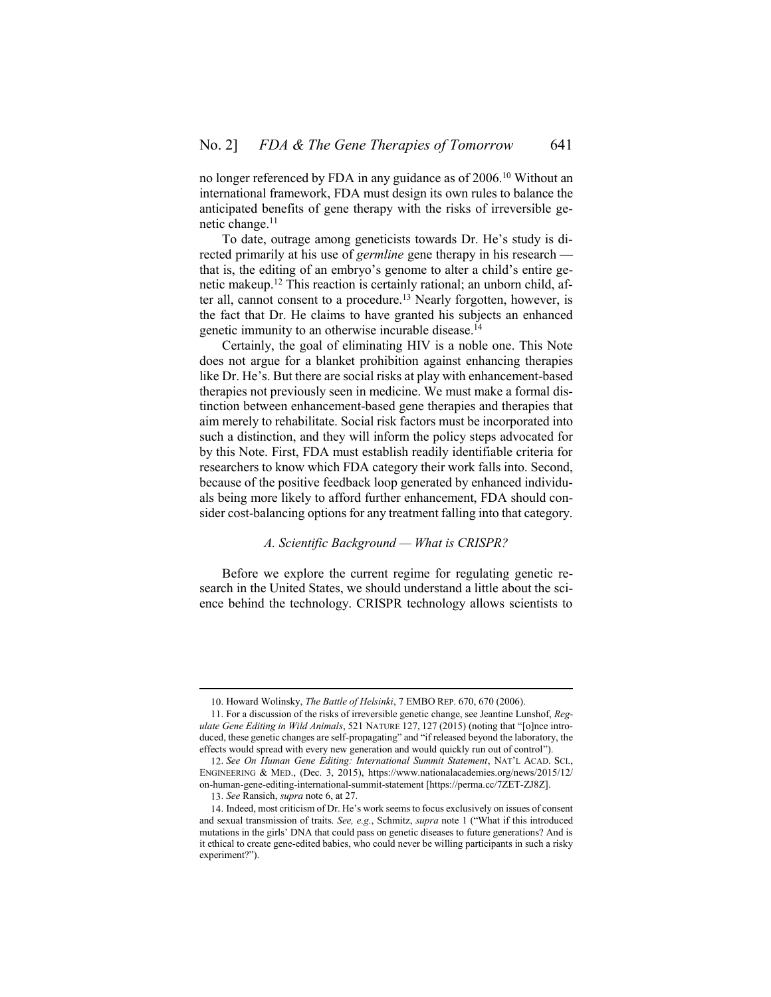no longer referenced by FDA in any guidance as of 2006.<sup>10</sup> Without an international framework, FDA must design its own rules to balance the anticipated benefits of gene therapy with the risks of irreversible genetic change.<sup>11</sup>

<span id="page-2-1"></span>To date, outrage among geneticists towards Dr. He's study is directed primarily at his use of *germline* gene therapy in his research that is, the editing of an embryo's genome to alter a child's entire genetic makeup.<sup>12</sup> This reaction is certainly rational; an unborn child, after all, cannot consent to a procedure.<sup>13</sup> Nearly forgotten, however, is the fact that Dr. He claims to have granted his subjects an enhanced genetic immunity to an otherwise incurable disease.<sup>14</sup>

Certainly, the goal of eliminating HIV is a noble one. This Note does not argue for a blanket prohibition against enhancing therapies like Dr. He's. But there are social risks at play with enhancement-based therapies not previously seen in medicine. We must make a formal distinction between enhancement-based gene therapies and therapies that aim merely to rehabilitate. Social risk factors must be incorporated into such a distinction, and they will inform the policy steps advocated for by this Note. First, FDA must establish readily identifiable criteria for researchers to know which FDA category their work falls into. Second, because of the positive feedback loop generated by enhanced individuals being more likely to afford further enhancement, FDA should consider cost-balancing options for any treatment falling into that category.

## *A. Scientific Background — What is CRISPR?*

<span id="page-2-0"></span>Before we explore the current regime for regulating genetic research in the United States, we should understand a little about the science behind the technology. CRISPR technology allows scientists to

<sup>10.</sup> Howard Wolinsky, *The Battle of Helsinki*, 7 EMBO REP. 670, 670 (2006).

<sup>11.</sup> For a discussion of the risks of irreversible genetic change, see Jeantine Lunshof, *Regulate Gene Editing in Wild Animals*, 521 NATURE 127, 127 (2015) (noting that "[o]nce introduced, these genetic changes are self-propagating" and "if released beyond the laboratory, the effects would spread with every new generation and would quickly run out of control").

<sup>12.</sup> *See On Human Gene Editing: International Summit Statement*, NAT'L ACAD. SCI., ENGINEERING & MED., (Dec. 3, 2015), https://www.nationalacademies.org/news/2015/12/ on-human-gene-editing-international-summit-statement [https://perma.cc/7ZET-ZJ8Z].

<sup>13.</sup> *See* Ransich, *supra* not[e 6,](#page-1-0) at 27.

<sup>14.</sup> Indeed, most criticism of Dr. He's work seems to focus exclusively on issues of consent and sexual transmission of traits. *See, e.g.*, Schmitz, *supra* note [1](#page-0-1) ("What if this introduced mutations in the girls' DNA that could pass on genetic diseases to future generations? And is it ethical to create gene-edited babies, who could never be willing participants in such a risky experiment?").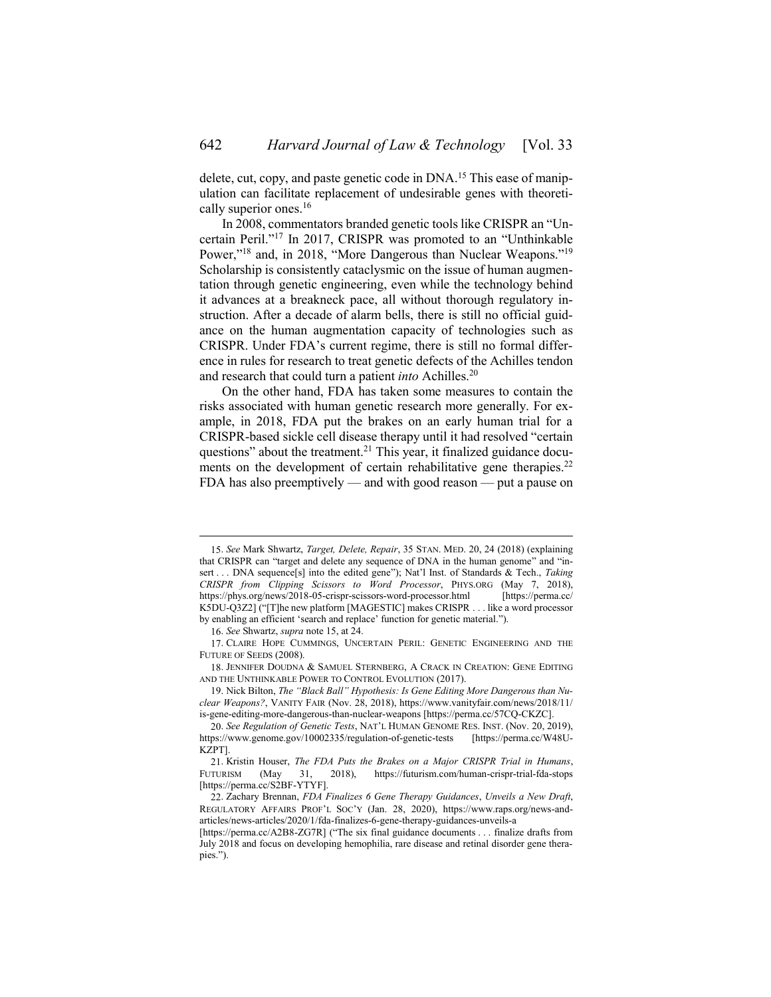<span id="page-3-0"></span>delete, cut, copy, and paste genetic code in DNA.<sup>15</sup> This ease of manipulation can facilitate replacement of undesirable genes with theoretically superior ones.<sup>16</sup>

<span id="page-3-1"></span>In 2008, commentators branded genetic tools like CRISPR an "Uncertain Peril." <sup>17</sup> In 2017, CRISPR was promoted to an "Unthinkable Power,"<sup>18</sup> and, in 2018, "More Dangerous than Nuclear Weapons."<sup>19</sup> Scholarship is consistently cataclysmic on the issue of human augmentation through genetic engineering, even while the technology behind it advances at a breakneck pace, all without thorough regulatory instruction. After a decade of alarm bells, there is still no official guidance on the human augmentation capacity of technologies such as CRISPR. Under FDA's current regime, there is still no formal difference in rules for research to treat genetic defects of the Achilles tendon and research that could turn a patient *into* Achilles.<sup>20</sup>

<span id="page-3-2"></span>On the other hand, FDA has taken some measures to contain the risks associated with human genetic research more generally. For example, in 2018, FDA put the brakes on an early human trial for a CRISPR-based sickle cell disease therapy until it had resolved "certain questions" about the treatment. $^{21}$  This year, it finalized guidance documents on the development of certain rehabilitative gene therapies.<sup>22</sup> FDA has also preemptively — and with good reason — put a pause on

<sup>15.</sup> *See* Mark Shwartz, *Target, Delete, Repair*, 35 STAN. MED. 20, 24 (2018) (explaining that CRISPR can "target and delete any sequence of DNA in the human genome" and "insert . . . DNA sequence[s] into the edited gene"); Nat'l Inst. of Standards & Tech., *Taking CRISPR from Clipping Scissors to Word Processor*, PHYS.ORG (May 7, 2018), https://phys.org/news/2018-05-crispr-scissors-word-processor.html [https://perma.cc/ K5DU-Q3Z2] ("[T]he new platform [MAGESTIC] makes CRISPR . . . like a word processor by enabling an efficient 'search and replace' function for genetic material.").

<sup>16.</sup> *See* Shwartz, *supra* not[e 15,](#page-3-0) at 24.

<sup>17.</sup> CLAIRE HOPE CUMMINGS, UNCERTAIN PERIL: GENETIC ENGINEERING AND THE FUTURE OF SEEDS (2008).

<sup>18.</sup> JENNIFER DOUDNA & SAMUEL STERNBERG, A CRACK IN CREATION: GENE EDITING AND THE UNTHINKABLE POWER TO CONTROL EVOLUTION (2017).

<sup>19.</sup> Nick Bilton, *The "Black Ball" Hypothesis: Is Gene Editing More Dangerous than Nuclear Weapons?*, VANITY FAIR (Nov. 28, 2018), https://www.vanityfair.com/news/2018/11/ is-gene-editing-more-dangerous-than-nuclear-weapons [https://perma.cc/57CQ-CKZC].

<sup>20.</sup> *See Regulation of Genetic Tests*, NAT'L HUMAN GENOME RES. INST. (Nov. 20, 2019), https://www.genome.gov/10002335/regulation-of-genetic-tests [https://perma.cc/W48U-KZPT].

<sup>21.</sup> Kristin Houser, *The FDA Puts the Brakes on a Major CRISPR Trial in Humans*, FUTURISM (May 31, 2018), https://futurism.com/human-crispr-trial-fda-stops [https://perma.cc/S2BF-YTYF].

<sup>22.</sup> Zachary Brennan, *FDA Finalizes 6 Gene Therapy Guidances*, *Unveils a New Draft*, REGULATORY AFFAIRS PROF'L SOC'Y (Jan. 28, 2020), https://www.raps.org/news-andarticles/news-articles/2020/1/fda-finalizes-6-gene-therapy-guidances-unveils-a

<sup>[</sup>https://perma.cc/A2B8-ZG7R] ("The six final guidance documents . . . finalize drafts from July 2018 and focus on developing hemophilia, rare disease and retinal disorder gene therapies.").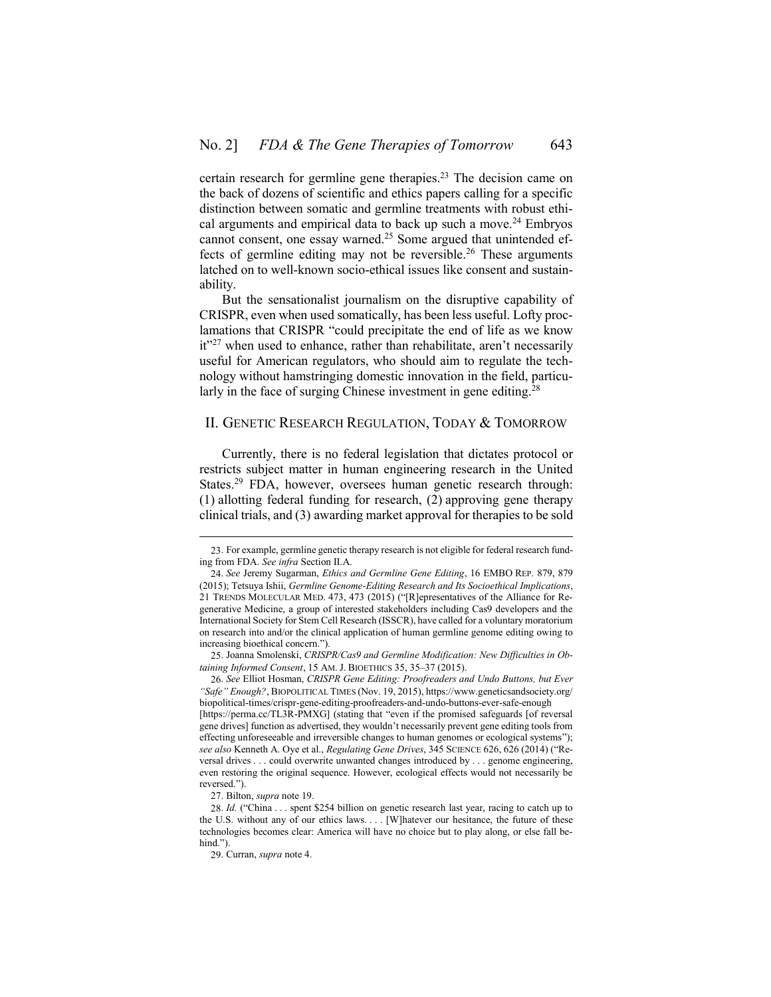certain research for germline gene therapies.<sup>23</sup> The decision came on the back of dozens of scientific and ethics papers calling for a specific distinction between somatic and germline treatments with robust ethical arguments and empirical data to back up such a move.<sup>24</sup> Embryos cannot consent, one essay warned.<sup>25</sup> Some argued that unintended effects of germline editing may not be reversible.<sup>26</sup> These arguments latched on to well-known socio-ethical issues like consent and sustainability.

But the sensationalist journalism on the disruptive capability of CRISPR, even when used somatically, has been less useful. Lofty proclamations that CRISPR "could precipitate the end of life as we know it"<sup>27</sup> when used to enhance, rather than rehabilitate, aren't necessarily useful for American regulators, who should aim to regulate the technology without hamstringing domestic innovation in the field, particularly in the face of surging Chinese investment in gene editing.<sup>28</sup>

#### <span id="page-4-0"></span>II. GENETIC RESEARCH REGULATION, TODAY & TOMORROW

Currently, there is no federal legislation that dictates protocol or restricts subject matter in human engineering research in the United States.<sup>29</sup> FDA, however, oversees human genetic research through: (1) allotting federal funding for research, (2) approving gene therapy clinical trials, and (3) awarding market approval for therapies to be sold

26. *See* Elliot Hosman, *CRISPR Gene Editing: Proofreaders and Undo Buttons, but Ever "Safe" Enough?*, BIOPOLITICAL TIMES (Nov. 19, 2015), https://www.geneticsandsociety.org/ biopolitical-times/crispr-gene-editing-proofreaders-and-undo-buttons-ever-safe-enough

[https://perma.cc/TL3R-PMXG] (stating that "even if the promised safeguards [of reversal gene drives] function as advertised, they wouldn't necessarily prevent gene editing tools from effecting unforeseeable and irreversible changes to human genomes or ecological systems"); *see also* Kenneth A. Oye et al., *Regulating Gene Drives*, 345 SCIENCE 626, 626 (2014) ("Reversal drives . . . could overwrite unwanted changes introduced by . . . genome engineering, even restoring the original sequence. However, ecological effects would not necessarily be reversed.").

<sup>23.</sup> For example, germline genetic therapy research is not eligible for federal research funding from FDA. *See infra* Section [II](#page-4-0)[.A.](#page-5-0)

<sup>24.</sup> *See* Jeremy Sugarman, *Ethics and Germline Gene Editing*, 16 EMBO REP. 879, 879 (2015); Tetsuya Ishii, *Germline Genome-Editing Research and Its Socioethical Implications*, 21 TRENDS MOLECULAR MED. 473, 473 (2015) ("[R]epresentatives of the Alliance for Regenerative Medicine, a group of interested stakeholders including Cas9 developers and the International Society for Stem Cell Research (ISSCR), have called for a voluntary moratorium on research into and/or the clinical application of human germline genome editing owing to increasing bioethical concern.").

<sup>25.</sup> Joanna Smolenski, *CRISPR/Cas9 and Germline Modification: New Difficulties in Obtaining Informed Consent*, 15 AM. J. BIOETHICS 35, 35–37 (2015).

<sup>27.</sup> Bilton, *supra* not[e 19.](#page-3-1)

<sup>28.</sup> *Id.* ("China . . . spent \$254 billion on genetic research last year, racing to catch up to the U.S. without any of our ethics laws. . . . [W]hatever our hesitance, the future of these technologies becomes clear: America will have no choice but to play along, or else fall behind.").

<sup>29.</sup> Curran, *supra* not[e 4.](#page-1-1)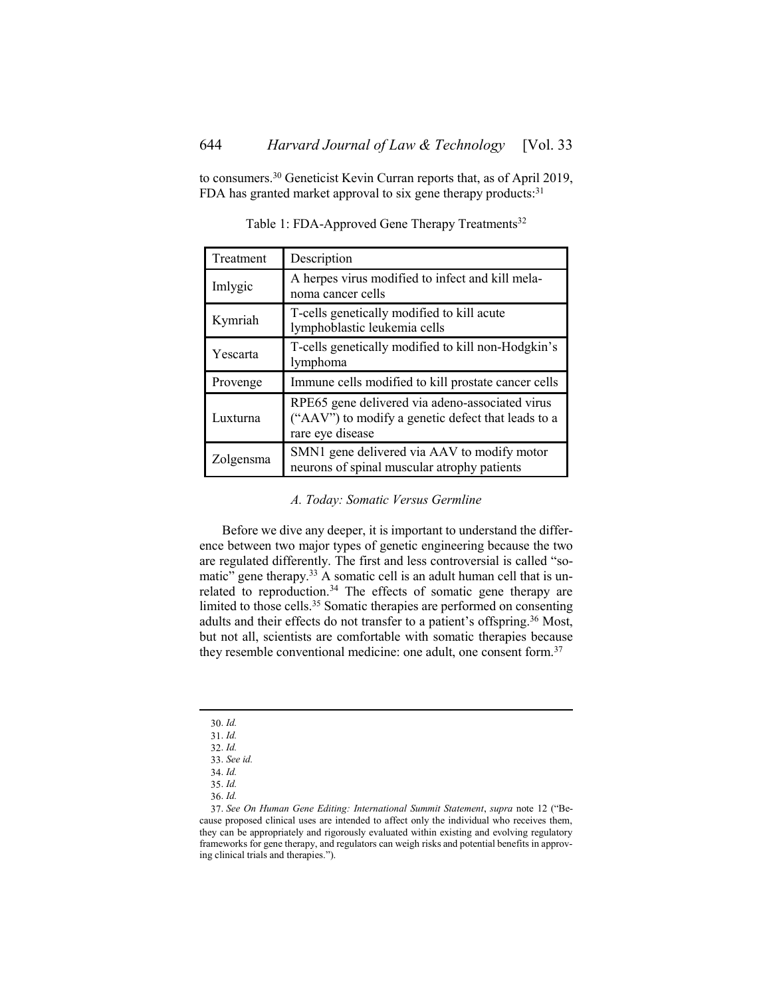to consumers.<sup>30</sup> Geneticist Kevin Curran reports that, as of April 2019, FDA has granted market approval to six gene therapy products:<sup>31</sup>

| Treatment | Description                                                                                                               |
|-----------|---------------------------------------------------------------------------------------------------------------------------|
| Imlygic   | A herpes virus modified to infect and kill mela-<br>noma cancer cells                                                     |
| Kymriah   | T-cells genetically modified to kill acute<br>lymphoblastic leukemia cells                                                |
| Yescarta  | T-cells genetically modified to kill non-Hodgkin's<br>lymphoma                                                            |
| Provenge  | Immune cells modified to kill prostate cancer cells                                                                       |
| Luxturna  | RPE65 gene delivered via adeno-associated virus<br>("AAV") to modify a genetic defect that leads to a<br>rare eye disease |
| Zolgensma | SMN1 gene delivered via AAV to modify motor<br>neurons of spinal muscular atrophy patients                                |

Table 1: FDA-Approved Gene Therapy Treatments<sup>32</sup>

# *A. Today: Somatic Versus Germline*

<span id="page-5-0"></span>Before we dive any deeper, it is important to understand the difference between two major types of genetic engineering because the two are regulated differently. The first and less controversial is called "somatic" gene therapy.<sup>33</sup> A somatic cell is an adult human cell that is unrelated to reproduction.<sup>34</sup> The effects of somatic gene therapy are limited to those cells.<sup>35</sup> Somatic therapies are performed on consenting adults and their effects do not transfer to a patient's offspring.<sup>36</sup> Most, but not all, scientists are comfortable with somatic therapies because they resemble conventional medicine: one adult, one consent form.<sup>37</sup>

<sup>30.</sup> *Id.*

<sup>31.</sup> *Id.*

<sup>32.</sup> *Id.*

<sup>33.</sup> *See id.*

<sup>34.</sup> *Id.*

<sup>35.</sup> *Id.*

<sup>36.</sup> *Id.*

<sup>37.</sup> *See On Human Gene Editing: International Summit Statement*, *supra* note [12](#page-2-1) ("Because proposed clinical uses are intended to affect only the individual who receives them, they can be appropriately and rigorously evaluated within existing and evolving regulatory frameworks for gene therapy, and regulators can weigh risks and potential benefits in approving clinical trials and therapies.").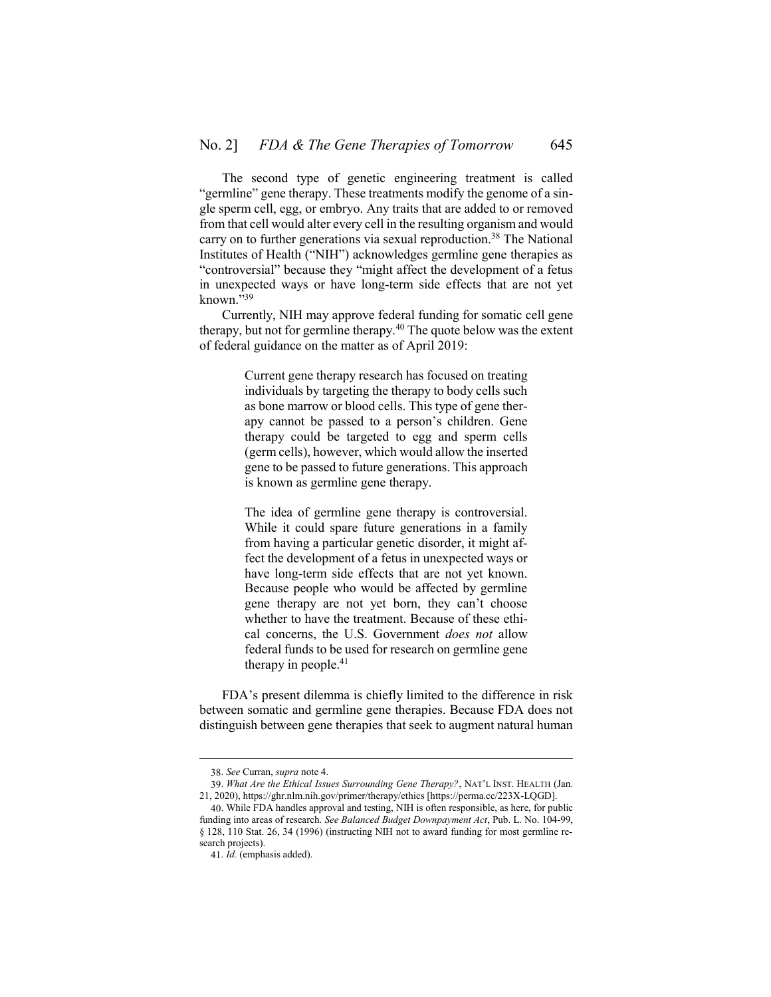The second type of genetic engineering treatment is called "germline" gene therapy. These treatments modify the genome of a single sperm cell, egg, or embryo. Any traits that are added to or removed from that cell would alter every cell in the resulting organism and would carry on to further generations via sexual reproduction.<sup>38</sup> The National Institutes of Health ("NIH") acknowledges germline gene therapies as "controversial" because they "might affect the development of a fetus in unexpected ways or have long-term side effects that are not yet known." 39

Currently, NIH may approve federal funding for somatic cell gene therapy, but not for germline therapy.<sup>40</sup> The quote below was the extent of federal guidance on the matter as of April 2019:

> Current gene therapy research has focused on treating individuals by targeting the therapy to body cells such as bone marrow or blood cells. This type of gene therapy cannot be passed to a person's children. Gene therapy could be targeted to egg and sperm cells (germ cells), however, which would allow the inserted gene to be passed to future generations. This approach is known as germline gene therapy.

> The idea of germline gene therapy is controversial. While it could spare future generations in a family from having a particular genetic disorder, it might affect the development of a fetus in unexpected ways or have long-term side effects that are not yet known. Because people who would be affected by germline gene therapy are not yet born, they can't choose whether to have the treatment. Because of these ethical concerns, the U.S. Government *does not* allow federal funds to be used for research on germline gene therapy in people.<sup>41</sup>

FDA's present dilemma is chiefly limited to the difference in risk between somatic and germline gene therapies. Because FDA does not distinguish between gene therapies that seek to augment natural human

<sup>38.</sup> *See* Curran, *supra* not[e 4.](#page-1-1)

<sup>39.</sup> *What Are the Ethical Issues Surrounding Gene Therapy?*, NAT'L INST. HEALTH (Jan. 21, 2020), https://ghr.nlm.nih.gov/primer/therapy/ethics [https://perma.cc/223X-LQGD].

<sup>40.</sup> While FDA handles approval and testing, NIH is often responsible, as here, for public funding into areas of research. *See Balanced Budget Downpayment Act*, Pub. L. No. 104-99, § 128, 110 Stat. 26, 34 (1996) (instructing NIH not to award funding for most germline research projects).

<sup>41.</sup> *Id.* (emphasis added).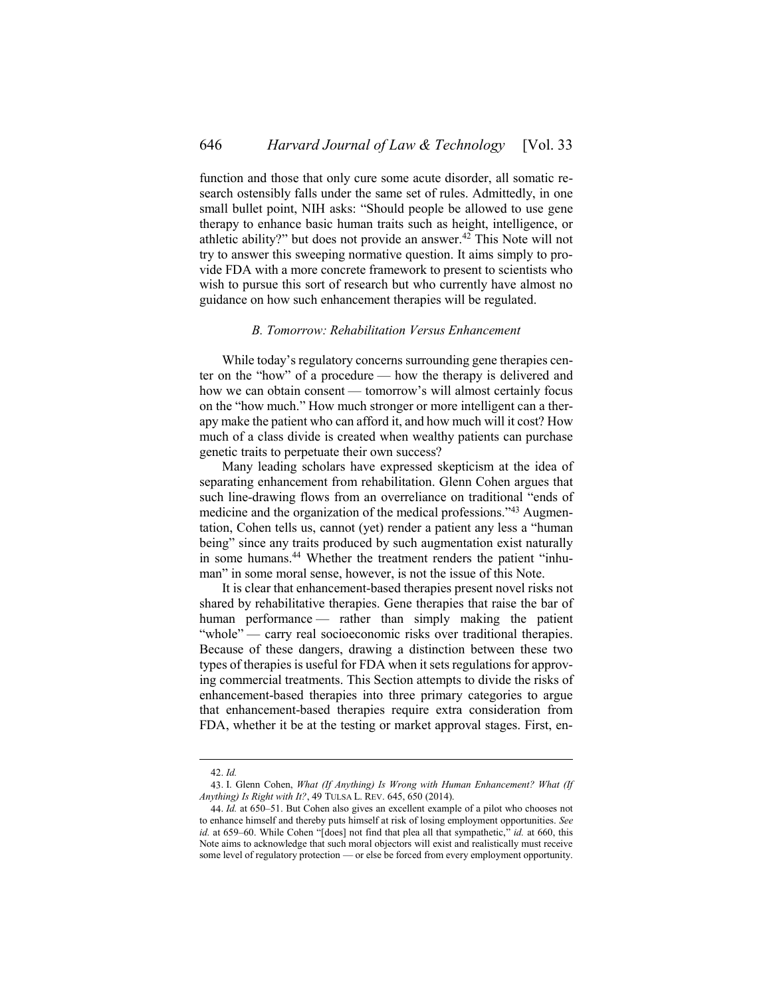function and those that only cure some acute disorder, all somatic research ostensibly falls under the same set of rules. Admittedly, in one small bullet point, NIH asks: "Should people be allowed to use gene therapy to enhance basic human traits such as height, intelligence, or athletic ability?" but does not provide an answer.<sup>42</sup> This Note will not try to answer this sweeping normative question. It aims simply to provide FDA with a more concrete framework to present to scientists who wish to pursue this sort of research but who currently have almost no guidance on how such enhancement therapies will be regulated.

#### *B. Tomorrow: Rehabilitation Versus Enhancement*

<span id="page-7-0"></span>While today's regulatory concerns surrounding gene therapies center on the "how" of a procedure — how the therapy is delivered and how we can obtain consent — tomorrow's will almost certainly focus on the "how much." How much stronger or more intelligent can a therapy make the patient who can afford it, and how much will it cost? How much of a class divide is created when wealthy patients can purchase genetic traits to perpetuate their own success?

Many leading scholars have expressed skepticism at the idea of separating enhancement from rehabilitation. Glenn Cohen argues that such line-drawing flows from an overreliance on traditional "ends of medicine and the organization of the medical professions."<sup>43</sup> Augmentation, Cohen tells us, cannot (yet) render a patient any less a "human being" since any traits produced by such augmentation exist naturally in some humans.<sup>44</sup> Whether the treatment renders the patient "inhuman" in some moral sense, however, is not the issue of this Note.

It is clear that enhancement-based therapies present novel risks not shared by rehabilitative therapies. Gene therapies that raise the bar of human performance — rather than simply making the patient "whole" — carry real socioeconomic risks over traditional therapies. Because of these dangers, drawing a distinction between these two types of therapies is useful for FDA when it sets regulations for approving commercial treatments. This Section attempts to divide the risks of enhancement-based therapies into three primary categories to argue that enhancement-based therapies require extra consideration from FDA, whether it be at the testing or market approval stages. First, en-

<sup>42.</sup> *Id.*

<sup>43.</sup> I. Glenn Cohen, *What (If Anything) Is Wrong with Human Enhancement? What (If Anything) Is Right with It?*, 49 TULSA L. REV. 645, 650 (2014).

<sup>44.</sup> *Id.* at 650–51. But Cohen also gives an excellent example of a pilot who chooses not to enhance himself and thereby puts himself at risk of losing employment opportunities. *See id.* at 659–60. While Cohen "[does] not find that plea all that sympathetic," *id.* at 660, this Note aims to acknowledge that such moral objectors will exist and realistically must receive some level of regulatory protection — or else be forced from every employment opportunity.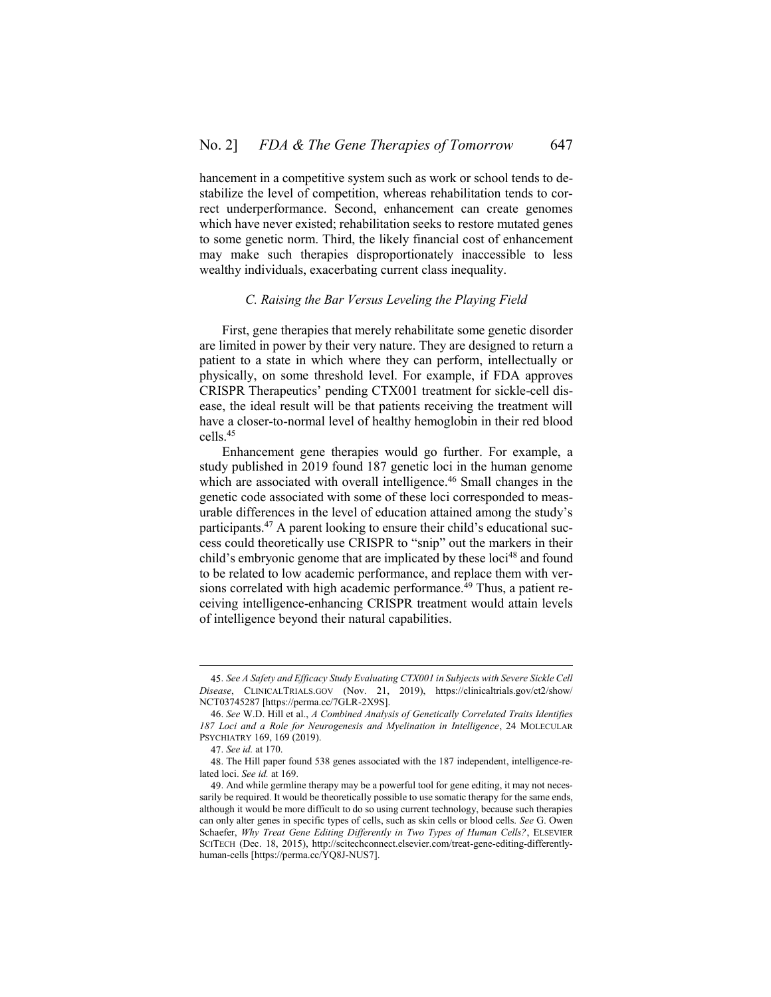hancement in a competitive system such as work or school tends to destabilize the level of competition, whereas rehabilitation tends to correct underperformance. Second, enhancement can create genomes which have never existed; rehabilitation seeks to restore mutated genes to some genetic norm. Third, the likely financial cost of enhancement may make such therapies disproportionately inaccessible to less wealthy individuals, exacerbating current class inequality.

### *C. Raising the Bar Versus Leveling the Playing Field*

<span id="page-8-0"></span>First, gene therapies that merely rehabilitate some genetic disorder are limited in power by their very nature. They are designed to return a patient to a state in which where they can perform, intellectually or physically, on some threshold level. For example, if FDA approves CRISPR Therapeutics' pending CTX001 treatment for sickle-cell disease, the ideal result will be that patients receiving the treatment will have a closer-to-normal level of healthy hemoglobin in their red blood cells.<sup>45</sup>

<span id="page-8-1"></span>Enhancement gene therapies would go further. For example, a study published in 2019 found 187 genetic loci in the human genome which are associated with overall intelligence.<sup>46</sup> Small changes in the genetic code associated with some of these loci corresponded to measurable differences in the level of education attained among the study's participants.<sup>47</sup> A parent looking to ensure their child's educational success could theoretically use CRISPR to "snip" out the markers in their child's embryonic genome that are implicated by these loci<sup>48</sup> and found to be related to low academic performance, and replace them with versions correlated with high academic performance.<sup>49</sup> Thus, a patient receiving intelligence-enhancing CRISPR treatment would attain levels of intelligence beyond their natural capabilities.

<sup>45.</sup> *See A Safety and Efficacy Study Evaluating CTX001 in Subjects with Severe Sickle Cell Disease*, CLINICALTRIALS.GOV (Nov. 21, 2019), https://clinicaltrials.gov/ct2/show/ NCT03745287 [https://perma.cc/7GLR-2X9S].

<sup>46.</sup> *See* W.D. Hill et al., *A Combined Analysis of Genetically Correlated Traits Identifies 187 Loci and a Role for Neurogenesis and Myelination in Intelligence*, 24 MOLECULAR PSYCHIATRY 169, 169 (2019).

<sup>47.</sup> *See id.* at 170.

<sup>48.</sup> The Hill paper found 538 genes associated with the 187 independent, intelligence-related loci. *See id.* at 169.

<sup>49.</sup> And while germline therapy may be a powerful tool for gene editing, it may not necessarily be required. It would be theoretically possible to use somatic therapy for the same ends, although it would be more difficult to do so using current technology, because such therapies can only alter genes in specific types of cells, such as skin cells or blood cells. *See* G. Owen Schaefer, *Why Treat Gene Editing Differently in Two Types of Human Cells?*, ELSEVIER SCITECH (Dec. 18, 2015), http://scitechconnect.elsevier.com/treat-gene-editing-differentlyhuman-cells [https://perma.cc/YQ8J-NUS7].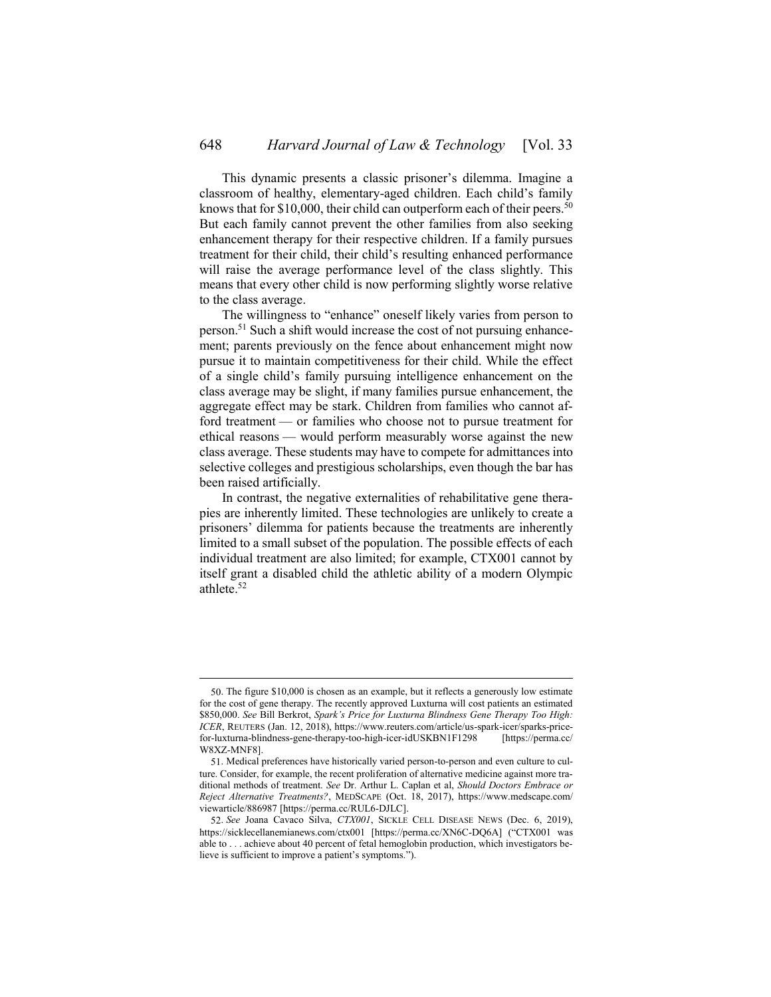<span id="page-9-0"></span>This dynamic presents a classic prisoner's dilemma. Imagine a classroom of healthy, elementary-aged children. Each child's family knows that for \$10,000, their child can outperform each of their peers.<sup>50</sup> But each family cannot prevent the other families from also seeking enhancement therapy for their respective children. If a family pursues treatment for their child, their child's resulting enhanced performance will raise the average performance level of the class slightly. This means that every other child is now performing slightly worse relative to the class average.

The willingness to "enhance" oneself likely varies from person to person.<sup>51</sup> Such a shift would increase the cost of not pursuing enhancement; parents previously on the fence about enhancement might now pursue it to maintain competitiveness for their child. While the effect of a single child's family pursuing intelligence enhancement on the class average may be slight, if many families pursue enhancement, the aggregate effect may be stark. Children from families who cannot afford treatment — or families who choose not to pursue treatment for ethical reasons — would perform measurably worse against the new class average. These students may have to compete for admittances into selective colleges and prestigious scholarships, even though the bar has been raised artificially.

In contrast, the negative externalities of rehabilitative gene therapies are inherently limited. These technologies are unlikely to create a prisoners' dilemma for patients because the treatments are inherently limited to a small subset of the population. The possible effects of each individual treatment are also limited; for example, CTX001 cannot by itself grant a disabled child the athletic ability of a modern Olympic athlete.<sup>52</sup>

<sup>50.</sup> The figure \$10,000 is chosen as an example, but it reflects a generously low estimate for the cost of gene therapy. The recently approved Luxturna will cost patients an estimated \$850,000. *See* Bill Berkrot, *Spark's Price for Luxturna Blindness Gene Therapy Too High: ICER*, REUTERS (Jan. 12, 2018), https://www.reuters.com/article/us-spark-icer/sparks-pricefor-luxturna-blindness-gene-therapy-too-high-icer-idUSKBN1F1298 [https://perma.cc/ W8XZ-MNF8].

<sup>51.</sup> Medical preferences have historically varied person-to-person and even culture to culture. Consider, for example, the recent proliferation of alternative medicine against more traditional methods of treatment. *See* Dr. Arthur L. Caplan et al, *Should Doctors Embrace or Reject Alternative Treatments?*, MEDSCAPE (Oct. 18, 2017), https://www.medscape.com/ viewarticle/886987 [https://perma.cc/RUL6-DJLC].

<sup>52.</sup> *See* Joana Cavaco Silva, *CTX001*, SICKLE CELL DISEASE NEWS (Dec. 6, 2019), https://sicklecellanemianews.com/ctx001 [https://perma.cc/XN6C-DQ6A] ("CTX001 was able to . . . achieve about 40 percent of fetal hemoglobin production, which investigators believe is sufficient to improve a patient's symptoms.").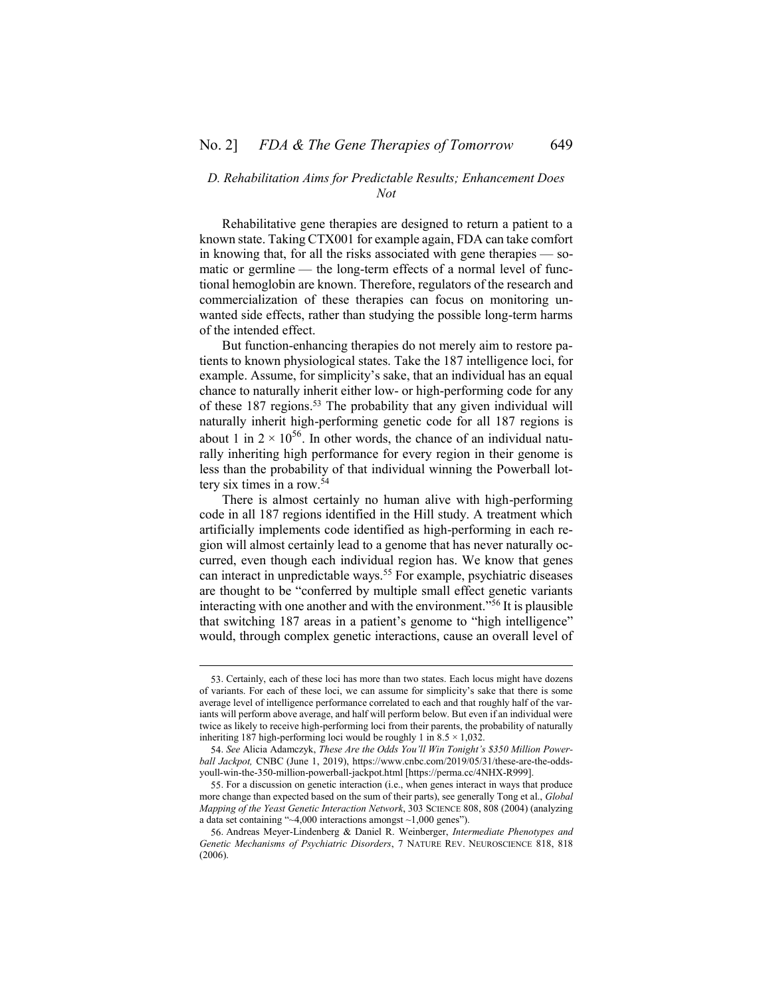### <span id="page-10-0"></span>*D. Rehabilitation Aims for Predictable Results; Enhancement Does Not*

Rehabilitative gene therapies are designed to return a patient to a known state. Taking CTX001 for example again, FDA can take comfort in knowing that, for all the risks associated with gene therapies — somatic or germline — the long-term effects of a normal level of functional hemoglobin are known. Therefore, regulators of the research and commercialization of these therapies can focus on monitoring unwanted side effects, rather than studying the possible long-term harms of the intended effect.

But function-enhancing therapies do not merely aim to restore patients to known physiological states. Take the 187 intelligence loci, for example. Assume, for simplicity's sake, that an individual has an equal chance to naturally inherit either low- or high-performing code for any of these 187 regions.<sup>53</sup> The probability that any given individual will naturally inherit high-performing genetic code for all 187 regions is about 1 in  $2 \times 10^{56}$ . In other words, the chance of an individual naturally inheriting high performance for every region in their genome is less than the probability of that individual winning the Powerball lottery six times in a row.<sup>54</sup>

There is almost certainly no human alive with high-performing code in all 187 regions identified in the Hill study. A treatment which artificially implements code identified as high-performing in each region will almost certainly lead to a genome that has never naturally occurred, even though each individual region has. We know that genes can interact in unpredictable ways.<sup>55</sup> For example, psychiatric diseases are thought to be "conferred by multiple small effect genetic variants interacting with one another and with the environment." <sup>56</sup> It is plausible that switching 187 areas in a patient's genome to "high intelligence" would, through complex genetic interactions, cause an overall level of

<sup>53.</sup> Certainly, each of these loci has more than two states. Each locus might have dozens of variants. For each of these loci, we can assume for simplicity's sake that there is some average level of intelligence performance correlated to each and that roughly half of the variants will perform above average, and half will perform below. But even if an individual were twice as likely to receive high-performing loci from their parents, the probability of naturally inheriting 187 high-performing loci would be roughly 1 in  $8.5 \times 1,032$ .

<sup>54.</sup> *See* Alicia Adamczyk, *These Are the Odds You'll Win Tonight's \$350 Million Powerball Jackpot,* CNBC (June 1, 2019), https://www.cnbc.com/2019/05/31/these-are-the-oddsyoull-win-the-350-million-powerball-jackpot.html [https://perma.cc/4NHX-R999].

<sup>55.</sup> For a discussion on genetic interaction (i.e., when genes interact in ways that produce more change than expected based on the sum of their parts), see generally Tong et al., *Global Mapping of the Yeast Genetic Interaction Network*, 303 SCIENCE 808, 808 (2004) (analyzing a data set containing "~4,000 interactions amongst ~1,000 genes").

<sup>56.</sup> Andreas Meyer-Lindenberg & Daniel R. Weinberger, *Intermediate Phenotypes and Genetic Mechanisms of Psychiatric Disorders*, 7 NATURE REV. NEUROSCIENCE 818, 818 (2006).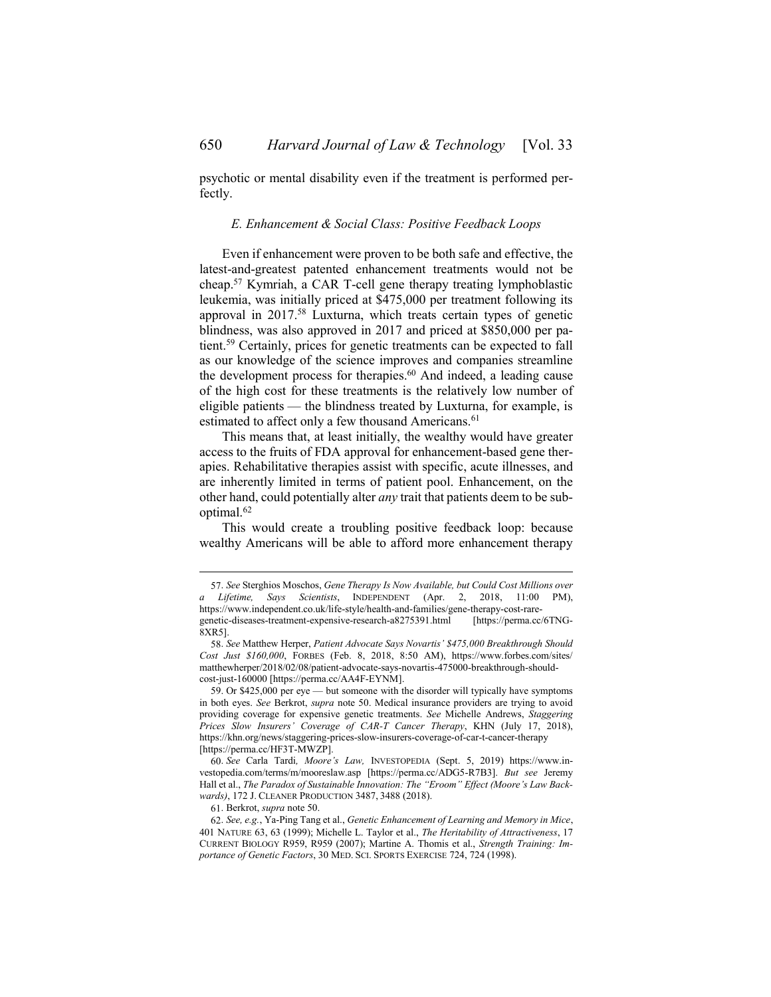<span id="page-11-0"></span>psychotic or mental disability even if the treatment is performed perfectly.

#### *E. Enhancement & Social Class: Positive Feedback Loops*

Even if enhancement were proven to be both safe and effective, the latest-and-greatest patented enhancement treatments would not be cheap.<sup>57</sup> Kymriah, a CAR T-cell gene therapy treating lymphoblastic leukemia, was initially priced at \$475,000 per treatment following its approval in 2017.<sup>58</sup> Luxturna, which treats certain types of genetic blindness, was also approved in 2017 and priced at \$850,000 per patient.<sup>59</sup> Certainly, prices for genetic treatments can be expected to fall as our knowledge of the science improves and companies streamline the development process for therapies.<sup>60</sup> And indeed, a leading cause of the high cost for these treatments is the relatively low number of eligible patients — the blindness treated by Luxturna, for example, is estimated to affect only a few thousand Americans.<sup>61</sup>

This means that, at least initially, the wealthy would have greater access to the fruits of FDA approval for enhancement-based gene therapies. Rehabilitative therapies assist with specific, acute illnesses, and are inherently limited in terms of patient pool. Enhancement, on the other hand, could potentially alter *any* trait that patients deem to be suboptimal.<sup>62</sup>

This would create a troubling positive feedback loop: because wealthy Americans will be able to afford more enhancement therapy

61. Berkrot, *supra* not[e 50.](#page-9-0)

<sup>57.</sup> *See* Sterghios Moschos, *Gene Therapy Is Now Available, but Could Cost Millions over a Lifetime, Says Scientists*, INDEPENDENT (Apr. 2, 2018, 11:00 PM), https://www.independent.co.uk/life-style/health-and-families/gene-therapy-cost-raregenetic-diseases-treatment-expensive-research-a8275391.html 8XR5].

<sup>58.</sup> *See* Matthew Herper, *Patient Advocate Says Novartis' \$475,000 Breakthrough Should Cost Just \$160,000*, FORBES (Feb. 8, 2018, 8:50 AM), https://www.forbes.com/sites/ matthewherper/2018/02/08/patient-advocate-says-novartis-475000-breakthrough-shouldcost-just-160000 [https://perma.cc/AA4F-EYNM].

<sup>59.</sup> Or \$425,000 per eye — but someone with the disorder will typically have symptoms in both eyes. *See* Berkrot, *supra* note [50.](#page-9-0) Medical insurance providers are trying to avoid providing coverage for expensive genetic treatments. *See* Michelle Andrews, *Staggering Prices Slow Insurers' Coverage of CAR-T Cancer Therapy*, KHN (July 17, 2018), https://khn.org/news/staggering-prices-slow-insurers-coverage-of-car-t-cancer-therapy [https://perma.cc/HF3T-MWZP].

<sup>60.</sup> *See* Carla Tardi*, Moore's Law,* INVESTOPEDIA (Sept. 5, 2019) https://www.investopedia.com/terms/m/mooreslaw.asp [https://perma.cc/ADG5-R7B3]. *But see* Jeremy Hall et al., *The Paradox of Sustainable Innovation: The "Eroom" Effect (Moore's Law Backwards)*, 172 J. CLEANER PRODUCTION 3487, 3488 (2018).

<sup>62.</sup> *See, e.g.*, Ya-Ping Tang et al., *Genetic Enhancement of Learning and Memory in Mice*, 401 NATURE 63, 63 (1999); Michelle L. Taylor et al., *The Heritability of Attractiveness*, 17 CURRENT BIOLOGY R959, R959 (2007); Martine A. Thomis et al., *Strength Training: Importance of Genetic Factors*, 30 MED. SCI. SPORTS EXERCISE 724, 724 (1998).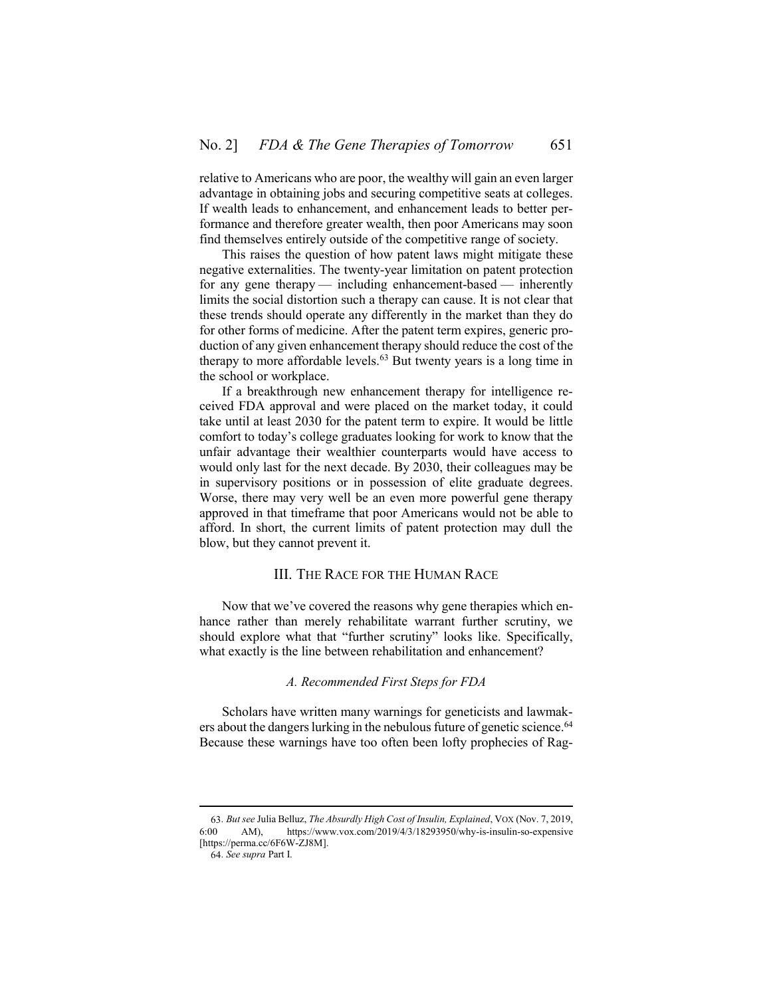relative to Americans who are poor, the wealthy will gain an even larger advantage in obtaining jobs and securing competitive seats at colleges. If wealth leads to enhancement, and enhancement leads to better performance and therefore greater wealth, then poor Americans may soon find themselves entirely outside of the competitive range of society.

This raises the question of how patent laws might mitigate these negative externalities. The twenty-year limitation on patent protection for any gene therapy — including enhancement-based — inherently limits the social distortion such a therapy can cause. It is not clear that these trends should operate any differently in the market than they do for other forms of medicine. After the patent term expires, generic production of any given enhancement therapy should reduce the cost of the therapy to more affordable levels.<sup>63</sup> But twenty years is a long time in the school or workplace.

If a breakthrough new enhancement therapy for intelligence received FDA approval and were placed on the market today, it could take until at least 2030 for the patent term to expire. It would be little comfort to today's college graduates looking for work to know that the unfair advantage their wealthier counterparts would have access to would only last for the next decade. By 2030, their colleagues may be in supervisory positions or in possession of elite graduate degrees. Worse, there may very well be an even more powerful gene therapy approved in that timeframe that poor Americans would not be able to afford. In short, the current limits of patent protection may dull the blow, but they cannot prevent it.

# III. THE RACE FOR THE HUMAN RACE

<span id="page-12-0"></span>Now that we've covered the reasons why gene therapies which enhance rather than merely rehabilitate warrant further scrutiny, we should explore what that "further scrutiny" looks like. Specifically, what exactly is the line between rehabilitation and enhancement?

#### *A. Recommended First Steps for FDA*

<span id="page-12-1"></span>Scholars have written many warnings for geneticists and lawmakers about the dangers lurking in the nebulous future of genetic science.<sup>64</sup> Because these warnings have too often been lofty prophecies of Rag-

<sup>63.</sup> *But see* Julia Belluz, *The Absurdly High Cost of Insulin, Explained*, VOX (Nov. 7, 2019, https://www.vox.com/2019/4/3/18293950/why-is-insulin-so-expensive [https://perma.cc/6F6W-ZJ8M].

<sup>64.</sup> *See supra* Part [I.](#page-0-0)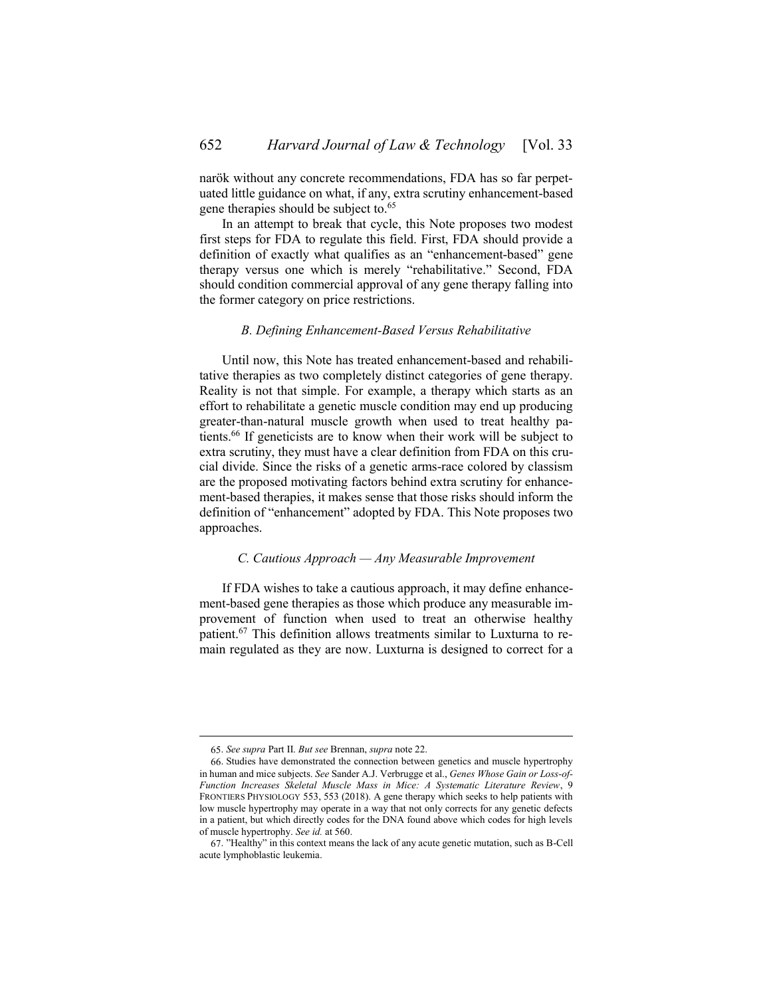narök without any concrete recommendations, FDA has so far perpetuated little guidance on what, if any, extra scrutiny enhancement-based gene therapies should be subject to.<sup>65</sup>

In an attempt to break that cycle, this Note proposes two modest first steps for FDA to regulate this field. First, FDA should provide a definition of exactly what qualifies as an "enhancement-based" gene therapy versus one which is merely "rehabilitative." Second, FDA should condition commercial approval of any gene therapy falling into the former category on price restrictions.

#### *B. Defining Enhancement-Based Versus Rehabilitative*

<span id="page-13-0"></span>Until now, this Note has treated enhancement-based and rehabilitative therapies as two completely distinct categories of gene therapy. Reality is not that simple. For example, a therapy which starts as an effort to rehabilitate a genetic muscle condition may end up producing greater-than-natural muscle growth when used to treat healthy patients.<sup>66</sup> If geneticists are to know when their work will be subject to extra scrutiny, they must have a clear definition from FDA on this crucial divide. Since the risks of a genetic arms-race colored by classism are the proposed motivating factors behind extra scrutiny for enhancement-based therapies, it makes sense that those risks should inform the definition of "enhancement" adopted by FDA. This Note proposes two approaches.

### <span id="page-13-1"></span>*C. Cautious Approach — Any Measurable Improvement*

If FDA wishes to take a cautious approach, it may define enhancement-based gene therapies as those which produce any measurable improvement of function when used to treat an otherwise healthy patient.<sup>67</sup> This definition allows treatments similar to Luxturna to remain regulated as they are now. Luxturna is designed to correct for a

<sup>65.</sup> *See supra* Part [II.](#page-4-0) *But see* Brennan, *supra* not[e 22.](#page-3-2)

<sup>66.</sup> Studies have demonstrated the connection between genetics and muscle hypertrophy in human and mice subjects. *See* Sander A.J. Verbrugge et al., *Genes Whose Gain or Loss-of-Function Increases Skeletal Muscle Mass in Mice: A Systematic Literature Review*, 9 FRONTIERS PHYSIOLOGY 553, 553 (2018). A gene therapy which seeks to help patients with low muscle hypertrophy may operate in a way that not only corrects for any genetic defects in a patient, but which directly codes for the DNA found above which codes for high levels of muscle hypertrophy. *See id.* at 560.

<sup>67.</sup> "Healthy" in this context means the lack of any acute genetic mutation, such as B-Cell acute lymphoblastic leukemia.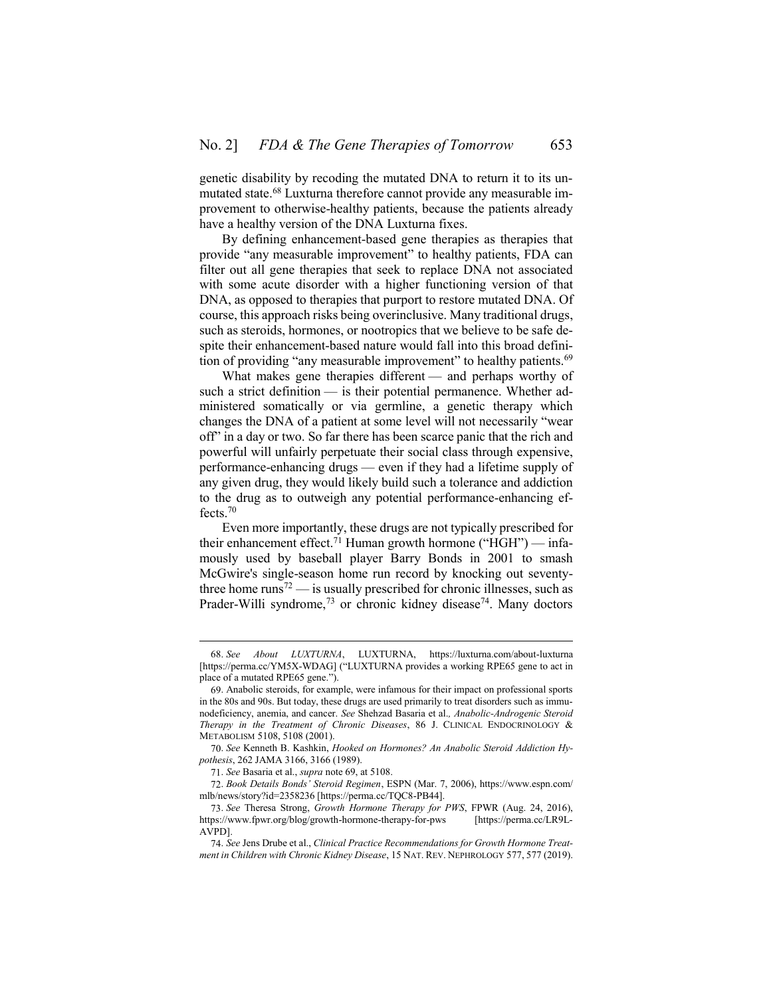genetic disability by recoding the mutated DNA to return it to its unmutated state.<sup>68</sup> Luxturna therefore cannot provide any measurable improvement to otherwise-healthy patients, because the patients already have a healthy version of the DNA Luxturna fixes.

By defining enhancement-based gene therapies as therapies that provide "any measurable improvement" to healthy patients, FDA can filter out all gene therapies that seek to replace DNA not associated with some acute disorder with a higher functioning version of that DNA, as opposed to therapies that purport to restore mutated DNA. Of course, this approach risks being overinclusive. Many traditional drugs, such as steroids, hormones, or nootropics that we believe to be safe despite their enhancement-based nature would fall into this broad definition of providing "any measurable improvement" to healthy patients.<sup>69</sup>

<span id="page-14-0"></span>What makes gene therapies different — and perhaps worthy of such a strict definition — is their potential permanence. Whether administered somatically or via germline, a genetic therapy which changes the DNA of a patient at some level will not necessarily "wear off" in a day or two. So far there has been scarce panic that the rich and powerful will unfairly perpetuate their social class through expensive, performance-enhancing drugs — even if they had a lifetime supply of any given drug, they would likely build such a tolerance and addiction to the drug as to outweigh any potential performance-enhancing effects.<sup>70</sup>

Even more importantly, these drugs are not typically prescribed for their enhancement effect.<sup>71</sup> Human growth hormone ("HGH") — infamously used by baseball player Barry Bonds in 2001 to smash McGwire's single-season home run record by knocking out seventythree home runs<sup>72</sup> — is usually prescribed for chronic illnesses, such as Prader-Willi syndrome, $^{73}$  or chronic kidney disease<sup>74</sup>. Many doctors

<sup>68.</sup> *See About LUXTURNA*, LUXTURNA, https://luxturna.com/about-luxturna [https://perma.cc/YM5X-WDAG] ("LUXTURNA provides a working RPE65 gene to act in place of a mutated RPE65 gene.").

<sup>69.</sup> Anabolic steroids, for example, were infamous for their impact on professional sports in the 80s and 90s. But today, these drugs are used primarily to treat disorders such as immunodeficiency, anemia, and cancer. *See* Shehzad Basaria et al.*, Anabolic-Androgenic Steroid Therapy in the Treatment of Chronic Diseases*, 86 J. CLINICAL ENDOCRINOLOGY & METABOLISM 5108, 5108 (2001).

<sup>70.</sup> *See* Kenneth B. Kashkin, *Hooked on Hormones? An Anabolic Steroid Addiction Hypothesis*, 262 JAMA 3166, 3166 (1989).

<sup>71.</sup> *See* Basaria et al., *supra* not[e 69,](#page-14-0) at 5108.

<sup>72.</sup> *Book Details Bonds' Steroid Regimen*, ESPN (Mar. 7, 2006), https://www.espn.com/ mlb/news/story?id=2358236 [https://perma.cc/TQC8-PB44].

<sup>73.</sup> *See* Theresa Strong, *Growth Hormone Therapy for PWS*, FPWR (Aug. 24, 2016), https://www.fpwr.org/blog/growth-hormone-therapy-for-pws [https://perma.cc/LR9L-AVPD].

<sup>74.</sup> *See* Jens Drube et al., *Clinical Practice Recommendations for Growth Hormone Treatment in Children with Chronic Kidney Disease*, 15 NAT. REV. NEPHROLOGY 577, 577 (2019).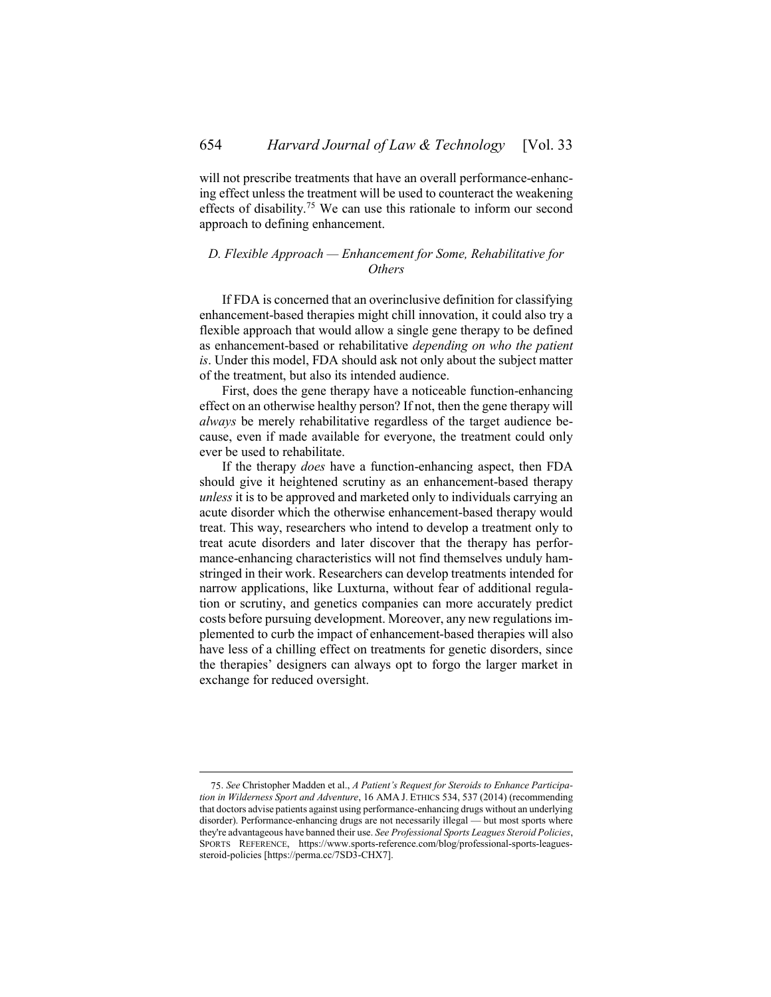will not prescribe treatments that have an overall performance-enhancing effect unless the treatment will be used to counteract the weakening effects of disability.<sup>75</sup> We can use this rationale to inform our second approach to defining enhancement.

## <span id="page-15-0"></span>*D. Flexible Approach — Enhancement for Some, Rehabilitative for Others*

If FDA is concerned that an overinclusive definition for classifying enhancement-based therapies might chill innovation, it could also try a flexible approach that would allow a single gene therapy to be defined as enhancement-based or rehabilitative *depending on who the patient is*. Under this model, FDA should ask not only about the subject matter of the treatment, but also its intended audience.

First, does the gene therapy have a noticeable function-enhancing effect on an otherwise healthy person? If not, then the gene therapy will *always* be merely rehabilitative regardless of the target audience because, even if made available for everyone, the treatment could only ever be used to rehabilitate.

If the therapy *does* have a function-enhancing aspect, then FDA should give it heightened scrutiny as an enhancement-based therapy *unless* it is to be approved and marketed only to individuals carrying an acute disorder which the otherwise enhancement-based therapy would treat. This way, researchers who intend to develop a treatment only to treat acute disorders and later discover that the therapy has performance-enhancing characteristics will not find themselves unduly hamstringed in their work. Researchers can develop treatments intended for narrow applications, like Luxturna, without fear of additional regulation or scrutiny, and genetics companies can more accurately predict costs before pursuing development. Moreover, any new regulations implemented to curb the impact of enhancement-based therapies will also have less of a chilling effect on treatments for genetic disorders, since the therapies' designers can always opt to forgo the larger market in exchange for reduced oversight.

<sup>75.</sup> *See* Christopher Madden et al., *A Patient's Request for Steroids to Enhance Participation in Wilderness Sport and Adventure*, 16 AMA J. ETHICS 534, 537 (2014) (recommending that doctors advise patients against using performance-enhancing drugs without an underlying disorder). Performance-enhancing drugs are not necessarily illegal — but most sports where they're advantageous have banned their use. *See Professional Sports Leagues Steroid Policies*, SPORTS REFERENCE, https://www.sports-reference.com/blog/professional-sports-leaguessteroid-policies [https://perma.cc/7SD3-CHX7].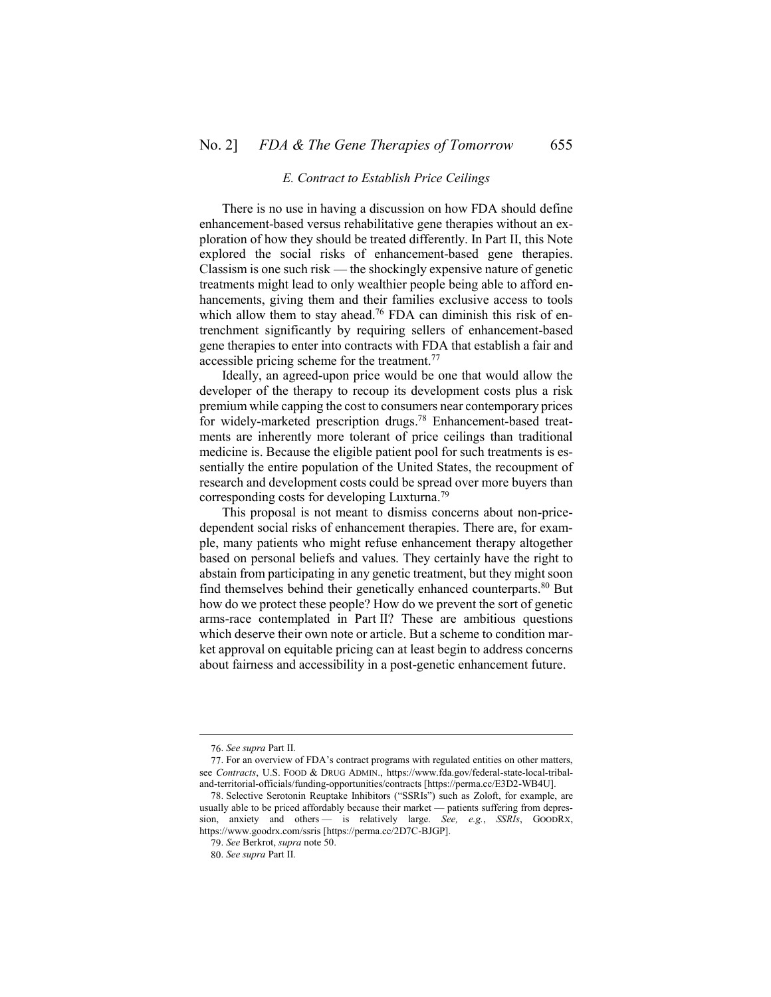#### *E. Contract to Establish Price Ceilings*

<span id="page-16-0"></span>There is no use in having a discussion on how FDA should define enhancement-based versus rehabilitative gene therapies without an exploration of how they should be treated differently. In Part [II,](#page-4-0) this Note explored the social risks of enhancement-based gene therapies. Classism is one such risk — the shockingly expensive nature of genetic treatments might lead to only wealthier people being able to afford enhancements, giving them and their families exclusive access to tools which allow them to stay ahead.<sup>76</sup> FDA can diminish this risk of entrenchment significantly by requiring sellers of enhancement-based gene therapies to enter into contracts with FDA that establish a fair and accessible pricing scheme for the treatment.<sup>77</sup>

Ideally, an agreed-upon price would be one that would allow the developer of the therapy to recoup its development costs plus a risk premium while capping the cost to consumers near contemporary prices for widely-marketed prescription drugs.<sup>78</sup> Enhancement-based treatments are inherently more tolerant of price ceilings than traditional medicine is. Because the eligible patient pool for such treatments is essentially the entire population of the United States, the recoupment of research and development costs could be spread over more buyers than corresponding costs for developing Luxturna. 79

This proposal is not meant to dismiss concerns about non-pricedependent social risks of enhancement therapies. There are, for example, many patients who might refuse enhancement therapy altogether based on personal beliefs and values. They certainly have the right to abstain from participating in any genetic treatment, but they might soon find themselves behind their genetically enhanced counterparts.<sup>80</sup> But how do we protect these people? How do we prevent the sort of genetic arms-race contemplated in Part [II?](#page-4-0) These are ambitious questions which deserve their own note or article. But a scheme to condition market approval on equitable pricing can at least begin to address concerns about fairness and accessibility in a post-genetic enhancement future.

<sup>76.</sup> *See supra* Part [II.](#page-4-0)

<sup>77.</sup> For an overview of FDA's contract programs with regulated entities on other matters, see *Contracts*, U.S. FOOD & DRUG ADMIN., https://www.fda.gov/federal-state-local-tribaland-territorial-officials/funding-opportunities/contracts [https://perma.cc/E3D2-WB4U].

<sup>78.</sup> Selective Serotonin Reuptake Inhibitors ("SSRIs") such as Zoloft, for example, are usually able to be priced affordably because their market — patients suffering from depression, anxiety and others — is relatively large. *See, e.g.*, *SSRIs*, GOODRX, https://www.goodrx.com/ssris [https://perma.cc/2D7C-BJGP].

<sup>79.</sup> *See* Berkrot, *supra* not[e 50.](#page-9-0)

<sup>80.</sup> *See supra* Part [II.](#page-4-0)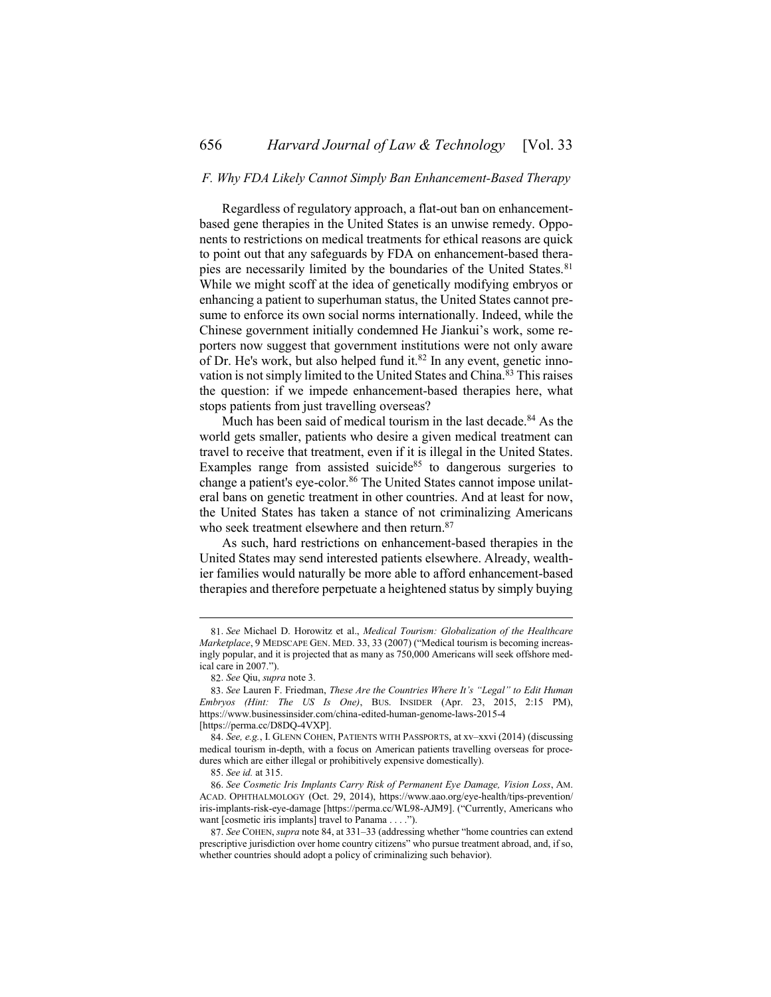### <span id="page-17-0"></span>*F. Why FDA Likely Cannot Simply Ban Enhancement-Based Therapy*

Regardless of regulatory approach, a flat-out ban on enhancementbased gene therapies in the United States is an unwise remedy. Opponents to restrictions on medical treatments for ethical reasons are quick to point out that any safeguards by FDA on enhancement-based therapies are necessarily limited by the boundaries of the United States.<sup>81</sup> While we might scoff at the idea of genetically modifying embryos or enhancing a patient to superhuman status, the United States cannot presume to enforce its own social norms internationally. Indeed, while the Chinese government initially condemned He Jiankui's work, some reporters now suggest that government institutions were not only aware of Dr. He's work, but also helped fund it.<sup>82</sup> In any event, genetic innovation is not simply limited to the United States and China.<sup>83</sup> This raises the question: if we impede enhancement-based therapies here, what stops patients from just travelling overseas?

<span id="page-17-1"></span>Much has been said of medical tourism in the last decade.<sup>84</sup> As the world gets smaller, patients who desire a given medical treatment can travel to receive that treatment, even if it is illegal in the United States. Examples range from assisted suicide $85$  to dangerous surgeries to change a patient's eye-color.<sup>86</sup> The United States cannot impose unilateral bans on genetic treatment in other countries. And at least for now, the United States has taken a stance of not criminalizing Americans who seek treatment elsewhere and then return.<sup>87</sup>

As such, hard restrictions on enhancement-based therapies in the United States may send interested patients elsewhere. Already, wealthier families would naturally be more able to afford enhancement-based therapies and therefore perpetuate a heightened status by simply buying

<sup>81.</sup> *See* Michael D. Horowitz et al., *Medical Tourism: Globalization of the Healthcare Marketplace*, 9 MEDSCAPE GEN. MED. 33, 33 (2007) ("Medical tourism is becoming increasingly popular, and it is projected that as many as 750,000 Americans will seek offshore medical care in 2007.").

<sup>82.</sup> *See* Qiu, *supra* not[e 3.](#page-1-2)

<sup>83.</sup> *See* Lauren F. Friedman, *These Are the Countries Where It's "Legal" to Edit Human Embryos (Hint: The US Is One)*, BUS. INSIDER (Apr. 23, 2015, 2:15 PM), https://www.businessinsider.com/china-edited-human-genome-laws-2015-4 [https://perma.cc/D8DQ-4VXP].

<sup>84.</sup> *See, e.g.*, I. GLENN COHEN, PATIENTS WITH PASSPORTS, at xv–xxvi (2014) (discussing medical tourism in-depth, with a focus on American patients travelling overseas for procedures which are either illegal or prohibitively expensive domestically).

<sup>85.</sup> *See id.* at 315.

<sup>86.</sup> *See Cosmetic Iris Implants Carry Risk of Permanent Eye Damage, Vision Loss*, AM. ACAD. OPHTHALMOLOGY (Oct. 29, 2014), https://www.aao.org/eye-health/tips-prevention/ iris-implants-risk-eye-damage [https://perma.cc/WL98-AJM9]. ("Currently, Americans who want [cosmetic iris implants] travel to Panama . . . .").

<sup>87.</sup> *See* COHEN, *supra* not[e 84,](#page-17-1) at 331–33 (addressing whether "home countries can extend prescriptive jurisdiction over home country citizens" who pursue treatment abroad, and, if so, whether countries should adopt a policy of criminalizing such behavior).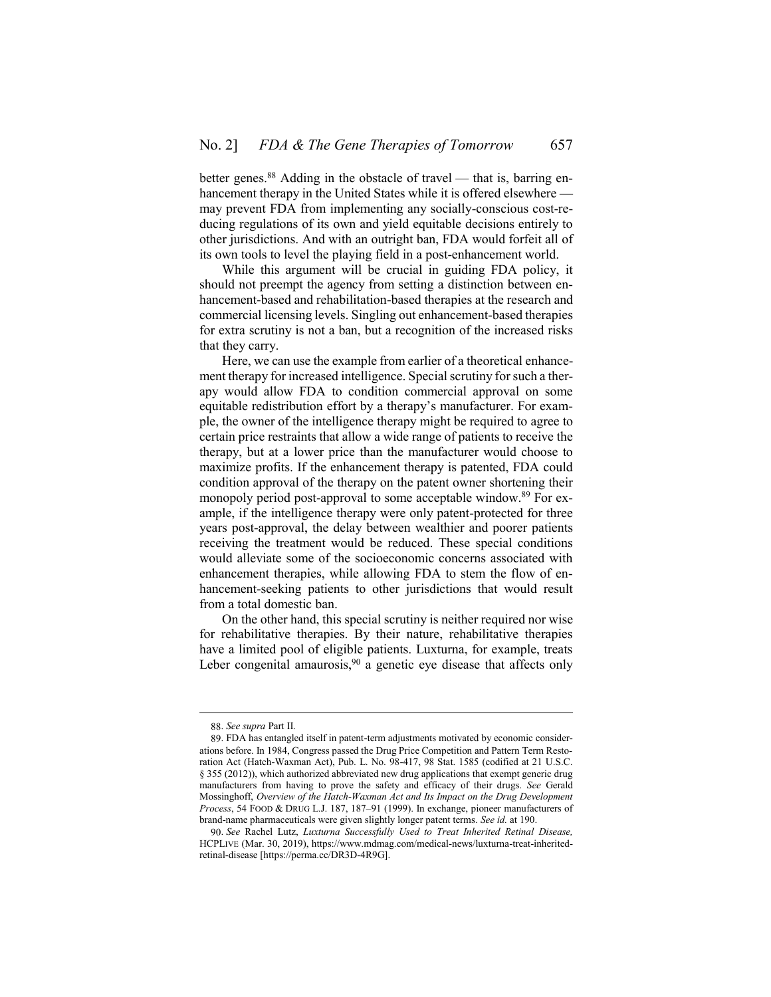better genes.<sup>88</sup> Adding in the obstacle of travel — that is, barring enhancement therapy in the United States while it is offered elsewhere may prevent FDA from implementing any socially-conscious cost-reducing regulations of its own and yield equitable decisions entirely to other jurisdictions. And with an outright ban, FDA would forfeit all of its own tools to level the playing field in a post-enhancement world.

While this argument will be crucial in guiding FDA policy, it should not preempt the agency from setting a distinction between enhancement-based and rehabilitation-based therapies at the research and commercial licensing levels. Singling out enhancement-based therapies for extra scrutiny is not a ban, but a recognition of the increased risks that they carry.

Here, we can use the example from earlier of a theoretical enhancement therapy for increased intelligence. Special scrutiny for such a therapy would allow FDA to condition commercial approval on some equitable redistribution effort by a therapy's manufacturer. For example, the owner of the intelligence therapy might be required to agree to certain price restraints that allow a wide range of patients to receive the therapy, but at a lower price than the manufacturer would choose to maximize profits. If the enhancement therapy is patented, FDA could condition approval of the therapy on the patent owner shortening their monopoly period post-approval to some acceptable window.<sup>89</sup> For example, if the intelligence therapy were only patent-protected for three years post-approval, the delay between wealthier and poorer patients receiving the treatment would be reduced. These special conditions would alleviate some of the socioeconomic concerns associated with enhancement therapies, while allowing FDA to stem the flow of enhancement-seeking patients to other jurisdictions that would result from a total domestic ban.

On the other hand, this special scrutiny is neither required nor wise for rehabilitative therapies. By their nature, rehabilitative therapies have a limited pool of eligible patients. Luxturna, for example, treats Leber congenital amaurosis,  $90$  a genetic eye disease that affects only

<sup>88.</sup> *See supra* Part [II.](#page-4-0)

<sup>89.</sup> FDA has entangled itself in patent-term adjustments motivated by economic considerations before. In 1984, Congress passed the Drug Price Competition and Pattern Term Restoration Act (Hatch-Waxman Act), Pub. L. No. 98-417, 98 Stat. 1585 (codified at 21 U.S.C. § 355 (2012)), which authorized abbreviated new drug applications that exempt generic drug manufacturers from having to prove the safety and efficacy of their drugs. *See* Gerald Mossinghoff, *Overview of the Hatch-Waxman Act and Its Impact on the Drug Development Process*, 54 FOOD & DRUG L.J. 187, 187–91 (1999). In exchange, pioneer manufacturers of brand-name pharmaceuticals were given slightly longer patent terms. *See id.* at 190.

<sup>90.</sup> *See* Rachel Lutz, *Luxturna Successfully Used to Treat Inherited Retinal Disease,*  HCPLIVE (Mar. 30, 2019), https://www.mdmag.com/medical-news/luxturna-treat-inheritedretinal-disease [https://perma.cc/DR3D-4R9G].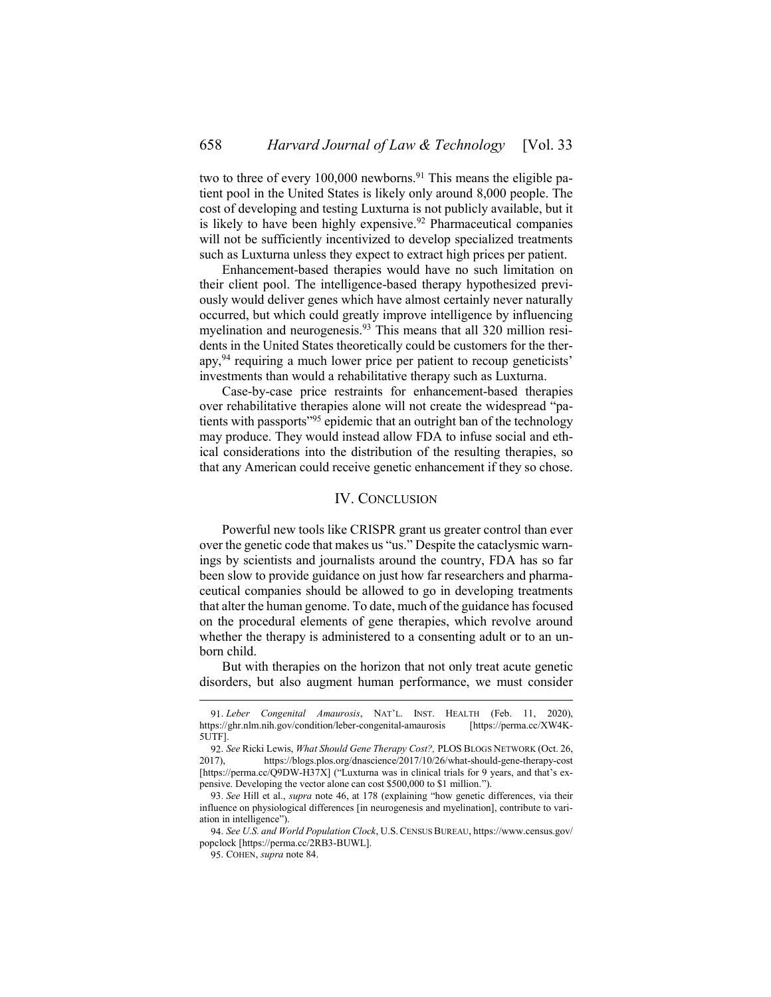two to three of every  $100,000$  newborns.<sup>91</sup> This means the eligible patient pool in the United States is likely only around 8,000 people. The cost of developing and testing Luxturna is not publicly available, but it is likely to have been highly expensive.<sup>92</sup> Pharmaceutical companies will not be sufficiently incentivized to develop specialized treatments such as Luxturna unless they expect to extract high prices per patient.

Enhancement-based therapies would have no such limitation on their client pool. The intelligence-based therapy hypothesized previously would deliver genes which have almost certainly never naturally occurred, but which could greatly improve intelligence by influencing myelination and neurogenesis.<sup>93</sup> This means that all 320 million residents in the United States theoretically could be customers for the therapy,<sup>94</sup> requiring a much lower price per patient to recoup geneticists' investments than would a rehabilitative therapy such as Luxturna.

Case-by-case price restraints for enhancement-based therapies over rehabilitative therapies alone will not create the widespread "patients with passports<sup>195</sup> epidemic that an outright ban of the technology may produce. They would instead allow FDA to infuse social and ethical considerations into the distribution of the resulting therapies, so that any American could receive genetic enhancement if they so chose.

#### IV. CONCLUSION

<span id="page-19-0"></span>Powerful new tools like CRISPR grant us greater control than ever over the genetic code that makes us "us." Despite the cataclysmic warnings by scientists and journalists around the country, FDA has so far been slow to provide guidance on just how far researchers and pharmaceutical companies should be allowed to go in developing treatments that alter the human genome. To date, much of the guidance has focused on the procedural elements of gene therapies, which revolve around whether the therapy is administered to a consenting adult or to an unborn child.

But with therapies on the horizon that not only treat acute genetic disorders, but also augment human performance, we must consider

<sup>91.</sup> *Leber Congenital Amaurosis*, NAT'L. INST. HEALTH (Feb. 11, 2020), https://ghr.nlm.nih.gov/condition/leber-congenital-amaurosis [https://perma.cc/XW4K-5UTF].

<sup>92.</sup> *See* Ricki Lewis, *What Should Gene Therapy Cost?*, PLOS BLOGS NETWORK (Oct. 26, 2017), https://blogs.plos.org/dnascience/2017/10/26/what-should-gene-therapy-cost 2017), https://blogs.plos.org/dnascience/2017/10/26/what-should-gene-therapy-cost [https://perma.cc/Q9DW-H37X] ("Luxturna was in clinical trials for 9 years, and that's expensive. Developing the vector alone can cost \$500,000 to \$1 million.").

<sup>93.</sup> *See* Hill et al., *supra* note [46,](#page-8-1) at 178 (explaining "how genetic differences, via their influence on physiological differences [in neurogenesis and myelination], contribute to variation in intelligence").

<sup>94.</sup> *See U.S. and World Population Clock*, U.S.CENSUS BUREAU, https://www.census.gov/ popclock [https://perma.cc/2RB3-BUWL].

<sup>95.</sup> COHEN, *supra* not[e 84.](#page-17-1)